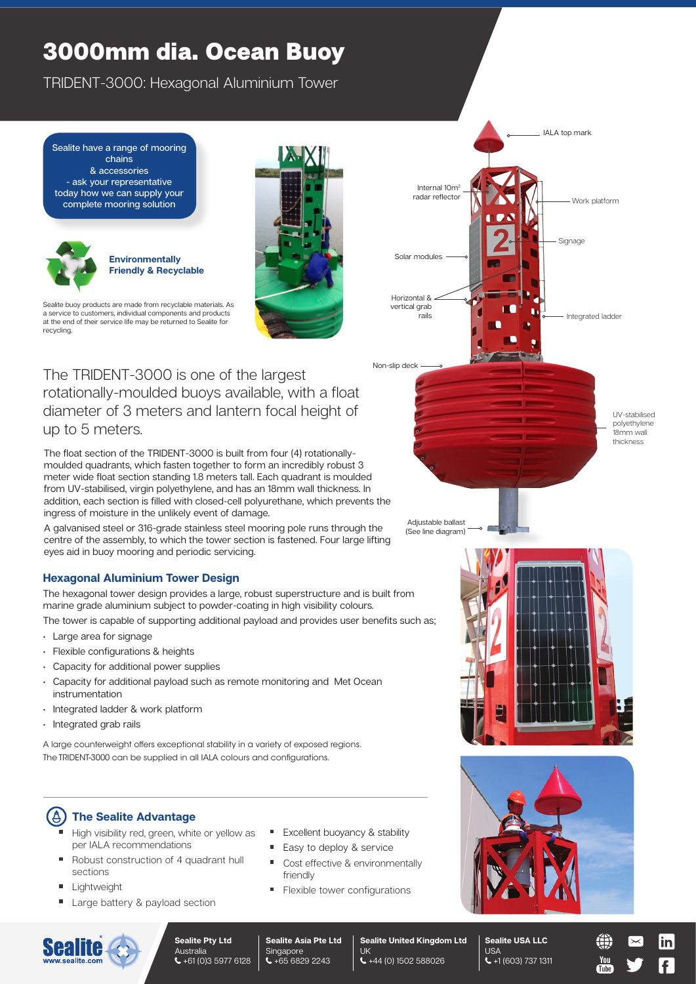# 3000mm dia. Ocean Buoy

TRIDENT-3000: Hexagonal Aluminium Tower

Sealite have a range of mooring chains & accessories - ask your representative today how we can supply your complete mooring solution





Sealite buoy products are made from recyclable materials. As a service to customers, individual components and products at the end of their service life may be returned to Sealite for recycling.

The TRIDENT-3000 is one of the largest rotationally-moulded buoys available, with a float diameter of 3 meters and lantern focal height of up to 5 meters.

The float section of the TRIDENT-3000 is built from four (4) rotationallymoulded quadrants, which fasten together to form an incredibly robust 3 meter wide float section standing 1.8 meters tall. Each quadrant is moulded from UV-stabilised, virgin polyethylene, and has an 18mm wall thickness. In addition, each section is filled with closed-cell polyurethane, which prevents the ingress of moisture in the unlikely event of damage.

A galvanised steel or 316-grade stainless steel mooring pole runs through the centre of the assembly, to which the tower section is fastened. Four large lifting eyes aid in buoy mooring and periodic servicing.

## **Hexagonal Aluminium Tower Design**

The hexagonal tower design provides a large, robust superstructure and is built from marine grade aluminium subject to powder-coating in high visibility colours.

The tower is capable of supporting additional payload and provides user benefits such as;

- Large area for signage
- Flexible configurations & heights
- Capacity for additional power supplies
- Capacity for additional payload such as remote monitoring and Met Ocean instrumentation
- Integrated ladder & work platform
- Integrated grab rails

A large counterweight offers exceptional stability in a variety of exposed regions. The TRIDENT-3000 can be supplied in all IALA colours and configurations.

### 【**A The Sealite Advantage**

- High visibility red, green, white or yellow as per IALA recommendations
- Robust construction of 4 quadrant hull sections
- Lightweight
- Large battery & payload section
- **Excellent buoyancy & stability**
- $\blacksquare$ Easy to deploy & service
- $\blacksquare$ Cost effective & environmentally friendly

UK

+44 (0) 1502 588026

Flexible tower configurations



Horizontal & vertical grab rails

Solar modules

Internal 10m<sup>2</sup> radar reflecto

Non-slip deck

Signage

Work platform

Integrated ladder

IALA top mark

UV-stabilised polyethylene 18mm wall thickness

**Sealite United Kingdom Ltd Sealite USA LLC** USA +1 (603) 737 1311





**Sealite Pty Ltd** Australia +61 (0)3 5977 6128

**Sealite Asia Pte Ltd** Singapore  $\leftarrow +6568292243$